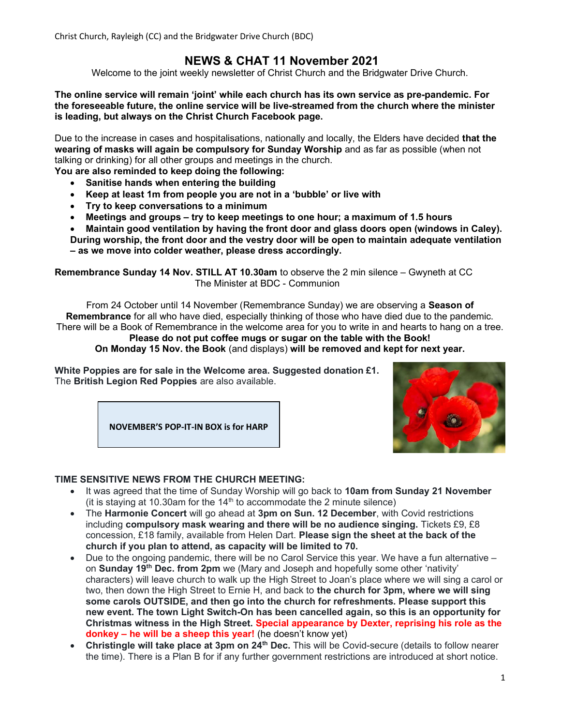Christ Church, Rayleigh (CC) and the Bridgwater Drive Church (BDC)

### NEWS & CHAT 11 November 2021

Welcome to the joint weekly newsletter of Christ Church and the Bridgwater Drive Church.

The online service will remain 'joint' while each church has its own service as pre-pandemic. For the foreseeable future, the online service will be live-streamed from the church where the minister is leading, but always on the Christ Church Facebook page.

Due to the increase in cases and hospitalisations, nationally and locally, the Elders have decided that the wearing of masks will again be compulsory for Sunday Worship and as far as possible (when not talking or drinking) for all other groups and meetings in the church.

You are also reminded to keep doing the following:

- Sanitise hands when entering the building
- Keep at least 1m from people you are not in a 'bubble' or live with
- Try to keep conversations to a minimum
- Meetings and groups try to keep meetings to one hour; a maximum of 1.5 hours
- Maintain good ventilation by having the front door and glass doors open (windows in Caley).
- During worship, the front door and the vestry door will be open to maintain adequate ventilation – as we move into colder weather, please dress accordingly.

Remembrance Sunday 14 Nov. STILL AT 10.30am to observe the 2 min silence – Gwyneth at CC The Minister at BDC - Communion

From 24 October until 14 November (Remembrance Sunday) we are observing a Season of Remembrance for all who have died, especially thinking of those who have died due to the pandemic. There will be a Book of Remembrance in the welcome area for you to write in and hearts to hang on a tree.

Please do not put coffee mugs or sugar on the table with the Book! On Monday 15 Nov. the Book (and displays) will be removed and kept for next year.

White Poppies are for sale in the Welcome area. Suggested donation £1. The British Legion Red Poppies are also available.





#### TIME SENSITIVE NEWS FROM THE CHURCH MEETING:

- It was agreed that the time of Sunday Worship will go back to 10am from Sunday 21 November (it is staying at 10.30am for the  $14<sup>th</sup>$  to accommodate the 2 minute silence)
- The Harmonie Concert will go ahead at 3pm on Sun. 12 December, with Covid restrictions including compulsory mask wearing and there will be no audience singing. Tickets £9, £8 concession, £18 family, available from Helen Dart. Please sign the sheet at the back of the church if you plan to attend, as capacity will be limited to 70.
- Due to the ongoing pandemic, there will be no Carol Service this year. We have a fun alternative on Sunday 19<sup>th</sup> Dec. from 2pm we (Mary and Joseph and hopefully some other 'nativity' characters) will leave church to walk up the High Street to Joan's place where we will sing a carol or two, then down the High Street to Ernie H, and back to the church for 3pm, where we will sing some carols OUTSIDE, and then go into the church for refreshments. Please support this new event. The town Light Switch-On has been cancelled again, so this is an opportunity for Christmas witness in the High Street. Special appearance by Dexter, reprising his role as the donkey – he will be a sheep this year! (he doesn't know yet)
- Christingle will take place at 3pm on 24<sup>th</sup> Dec. This will be Covid-secure (details to follow nearer the time). There is a Plan B for if any further government restrictions are introduced at short notice.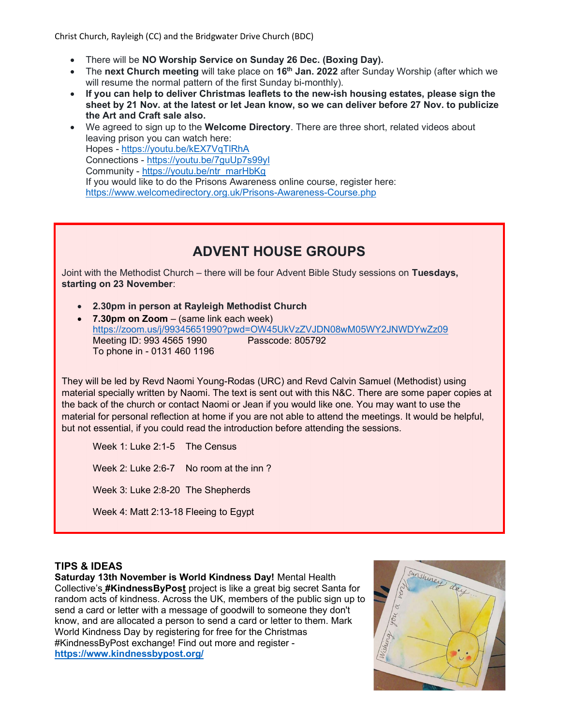Christ Church, Rayleigh (CC) and the Bridgwater Drive Church (BDC)

- There will be NO Worship Service on Sunday 26 Dec. (Boxing Day).
- The next Church meeting will take place on  $16<sup>th</sup>$  Jan. 2022 after Sunday Worship (after which we will resume the normal pattern of the first Sunday bi-monthly).
- If you can help to deliver Christmas leaflets to the new-ish housing estates, please sign the sheet by 21 Nov. at the latest or let Jean know, so we can deliver before 27 Nov. to publicize the Art and Craft sale also.
- We agreed to sign up to the **Welcome Directory**. There are three short, related videos about leaving prison you can watch here: Hopes - https://youtu.be/kEX7VqTlRhA Connections - https://youtu.be/7guUp7s99yI Community - https://youtu.be/ntr\_marHbKg If you would like to do the Prisons Awareness online course, register here: https://www.welcomedirectory.org.uk/Prisons-Awareness-Course.php

# ADVENT HOUSE GROUPS

Joint with the Methodist Church – there will be four Advent Bible Study sessions on Tuesdays, starting on 23 November:

- 2.30pm in person at Rayleigh Methodist Church
- 7.30pm on  $Zoom (same link each week)$ https://zoom.us/j/99345651990?pwd=OW45UkVzZVJDN08wM05WY2JNWDYwZz09 Meeting ID: 993 4565 1990 Passcode: 805792 To phone in - 0131 460 1196

They will be led by Revd Naomi Young-Rodas (URC) and Revd Calvin Samuel (Methodist) using material specially written by Naomi. The text is sent out with this N&C. There are some paper copies at the back of the church or contact Naomi or Jean if you would like one. You may want to use the material for personal reflection at home if you are not able to attend the meetings. It would be helpful, but not essential, if you could read the introduction before attending the sessions.

Week 1: Luke 2:1-5 The Census Week 2: Luke 2:6-7 No room at the inn ? Week 3: Luke 2:8-20 The Shepherds Week 4: Matt 2:13-18 Fleeing to Egypt

### TIPS & IDEAS

Saturday 13th November is World Kindness Day! Mental Health Collective's #KindnessByPost project is like a great big secret Santa for random acts of kindness. Across the UK, members of the public sign up to send a card or letter with a message of goodwill to someone they don't know, and are allocated a person to send a card or letter to them. Mark World Kindness Day by registering for free for the Christmas #KindnessByPost exchange! Find out more and register https://www.kindnessbypost.org/